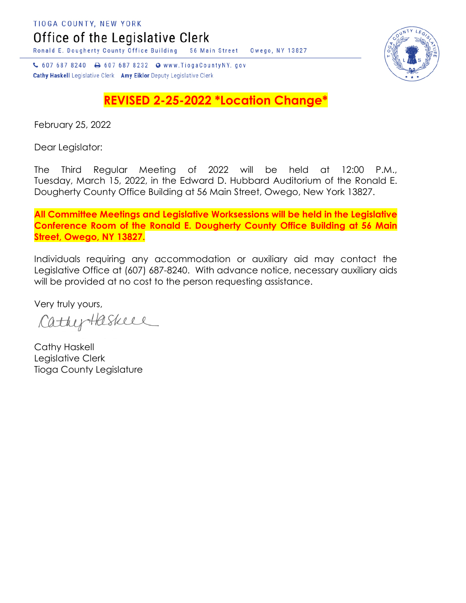Office of the Legislative Clerk

Ronald E. Dougherty County Office Building 56 Main Street Owego, NY 13827

↓ 607 687 8240 → 607 687 8232 → www.TiogaCountyNY.gov Cathy Haskell Legislative Clerk Amy Eiklor Deputy Legislative Clerk

## **REVISED 2-25-2022 \*Location Change\***

February 25, 2022

Dear Legislator:

The Third Regular Meeting of 2022 will be held at 12:00 P.M., Tuesday, March 15, 2022, in the Edward D. Hubbard Auditorium of the Ronald E. Dougherty County Office Building at 56 Main Street, Owego, New York 13827.

**All Committee Meetings and Legislative Worksessions will be held in the Legislative Conference Room of the Ronald E. Dougherty County Office Building at 56 Main Street, Owego, NY 13827.**

Individuals requiring any accommodation or auxiliary aid may contact the Legislative Office at (607) 687-8240. With advance notice, necessary auxiliary aids will be provided at no cost to the person requesting assistance.

Very truly yours,

CathyHaskeel

Cathy Haskell Legislative Clerk Tioga County Legislature